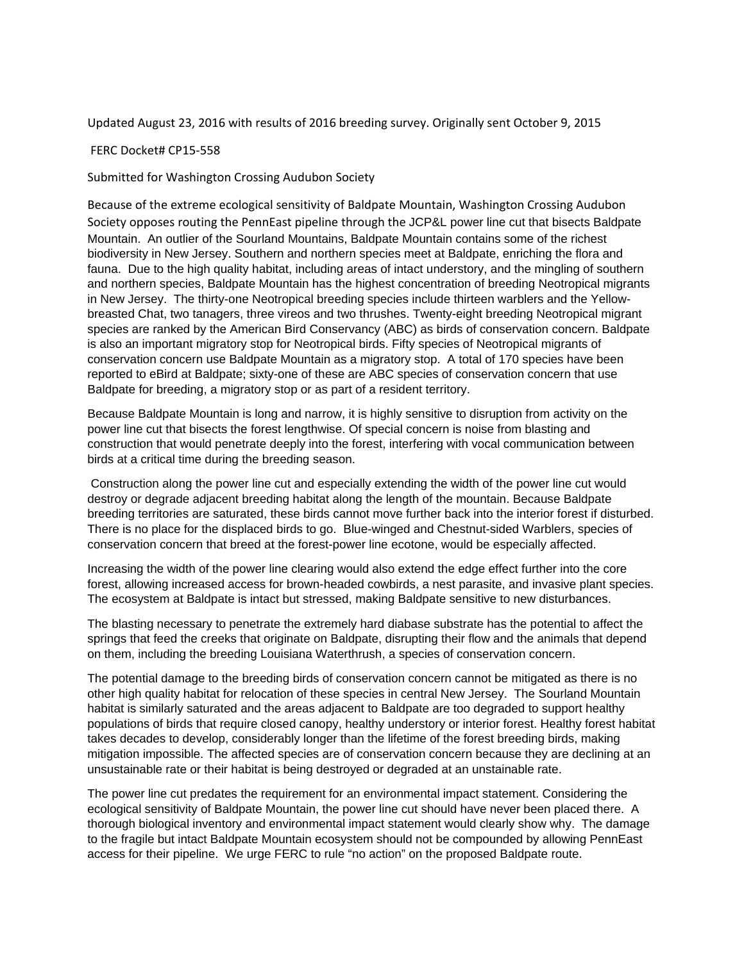Updated August 23, 2016 with results of 2016 breeding survey. Originally sent October 9, 2015

#### FERC Docket# CP15‐558

Submitted for Washington Crossing Audubon Society

Because of the extreme ecological sensitivity of Baldpate Mountain, Washington Crossing Audubon Society opposes routing the PennEast pipeline through the JCP&L power line cut that bisects Baldpate Mountain. An outlier of the Sourland Mountains, Baldpate Mountain contains some of the richest biodiversity in New Jersey. Southern and northern species meet at Baldpate, enriching the flora and fauna. Due to the high quality habitat, including areas of intact understory, and the mingling of southern and northern species, Baldpate Mountain has the highest concentration of breeding Neotropical migrants in New Jersey. The thirty-one Neotropical breeding species include thirteen warblers and the Yellowbreasted Chat, two tanagers, three vireos and two thrushes. Twenty-eight breeding Neotropical migrant species are ranked by the American Bird Conservancy (ABC) as birds of conservation concern. Baldpate is also an important migratory stop for Neotropical birds. Fifty species of Neotropical migrants of conservation concern use Baldpate Mountain as a migratory stop. A total of 170 species have been reported to eBird at Baldpate; sixty-one of these are ABC species of conservation concern that use Baldpate for breeding, a migratory stop or as part of a resident territory.

Because Baldpate Mountain is long and narrow, it is highly sensitive to disruption from activity on the power line cut that bisects the forest lengthwise. Of special concern is noise from blasting and construction that would penetrate deeply into the forest, interfering with vocal communication between birds at a critical time during the breeding season.

 Construction along the power line cut and especially extending the width of the power line cut would destroy or degrade adjacent breeding habitat along the length of the mountain. Because Baldpate breeding territories are saturated, these birds cannot move further back into the interior forest if disturbed. There is no place for the displaced birds to go. Blue-winged and Chestnut-sided Warblers, species of conservation concern that breed at the forest-power line ecotone, would be especially affected.

Increasing the width of the power line clearing would also extend the edge effect further into the core forest, allowing increased access for brown-headed cowbirds, a nest parasite, and invasive plant species. The ecosystem at Baldpate is intact but stressed, making Baldpate sensitive to new disturbances.

The blasting necessary to penetrate the extremely hard diabase substrate has the potential to affect the springs that feed the creeks that originate on Baldpate, disrupting their flow and the animals that depend on them, including the breeding Louisiana Waterthrush, a species of conservation concern.

The potential damage to the breeding birds of conservation concern cannot be mitigated as there is no other high quality habitat for relocation of these species in central New Jersey. The Sourland Mountain habitat is similarly saturated and the areas adjacent to Baldpate are too degraded to support healthy populations of birds that require closed canopy, healthy understory or interior forest. Healthy forest habitat takes decades to develop, considerably longer than the lifetime of the forest breeding birds, making mitigation impossible. The affected species are of conservation concern because they are declining at an unsustainable rate or their habitat is being destroyed or degraded at an unstainable rate.

The power line cut predates the requirement for an environmental impact statement. Considering the ecological sensitivity of Baldpate Mountain, the power line cut should have never been placed there. A thorough biological inventory and environmental impact statement would clearly show why. The damage to the fragile but intact Baldpate Mountain ecosystem should not be compounded by allowing PennEast access for their pipeline. We urge FERC to rule "no action" on the proposed Baldpate route.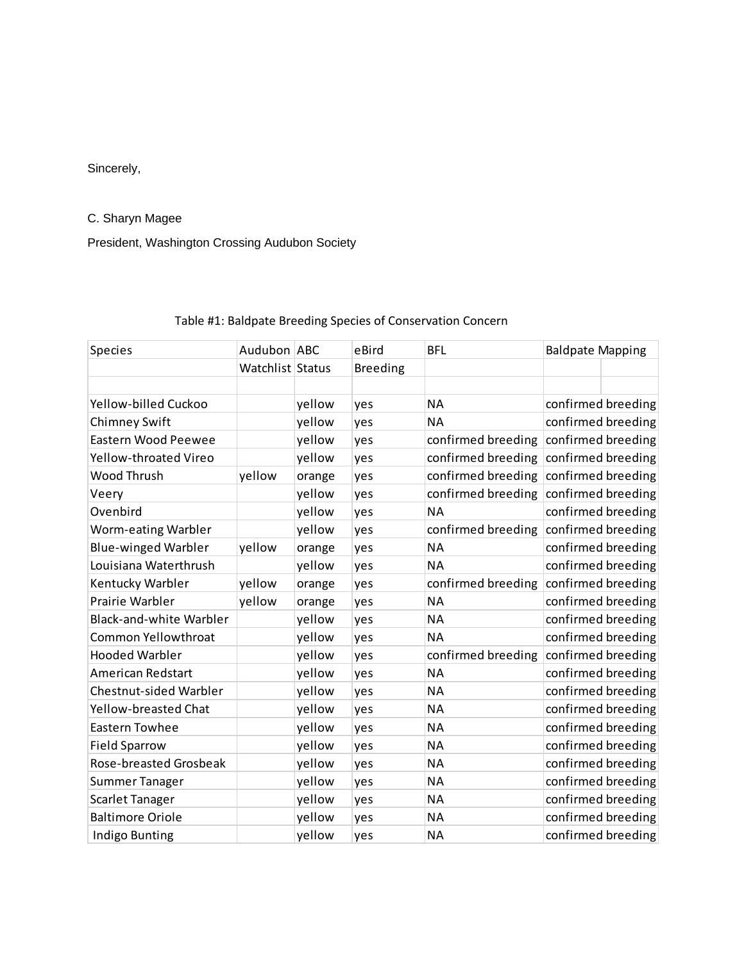#### Sincerely,

#### C. Sharyn Magee

President, Washington Crossing Audubon Society

## Species **Audubon ABC** eBird BFL Baldpate Mapping Watchlist Status Breeding Yellow‐billed Cuckoo yellow yes NA confirmed breeding Chimney Swift  $y$ ellow yes NA confirmed breeding Eastern Wood Peewee yellow yes confirmed breeding confirmed breeding Yellow-throated Vireo yellow yes confirmed breeding confirmed breeding Wood Thrush yellow orange yes confirmed breeding confirmed breeding Veery version of the vellow yes confirmed breeding confirmed breeding Ovenbird **The Vellow Yellow** yes NA confirmed breeding Worm-eating Warbler yellow yes confirmed breeding confirmed breeding Blue-winged Warbler yellow orange yes NA confirmed breeding Louisiana Waterthrush **yellow** yes NA confirmed breeding Kentucky Warbler yellow orange yes confirmed breeding confirmed breeding Prairie Warbler **yellow** orange yes NA confirmed breeding Black-and-white Warbler yellow yes NA NA confirmed breeding Common Yellowthroat vellow yes NA confirmed breeding Hooded Warbler **Notaingland Strutter Wellow** yes confirmed breeding confirmed breeding American Redstart The Vellow yes NA confirmed breeding Chestnut-sided Warbler vellow yes NA confirmed breeding Yellow-breasted Chat yellow yes NA confirmed breeding Eastern Towhee Vellow yes NA confirmed breeding Field Sparrow **Field Sparrow** yellow yes NA confirmed breeding Rose-breasted Grosbeak yellow yes NA confirmed breeding Summer Tanager Tanager yellow yes NA confirmed breeding Scarlet Tanager Tanager yellow yes NA confirmed breeding Baltimore Oriole **NA blue is a confirmed breeding** vellow yes NA confirmed breeding Indigo Bunting The Vellow yes NA confirmed breeding

#### Table #1: Baldpate Breeding Species of Conservation Concern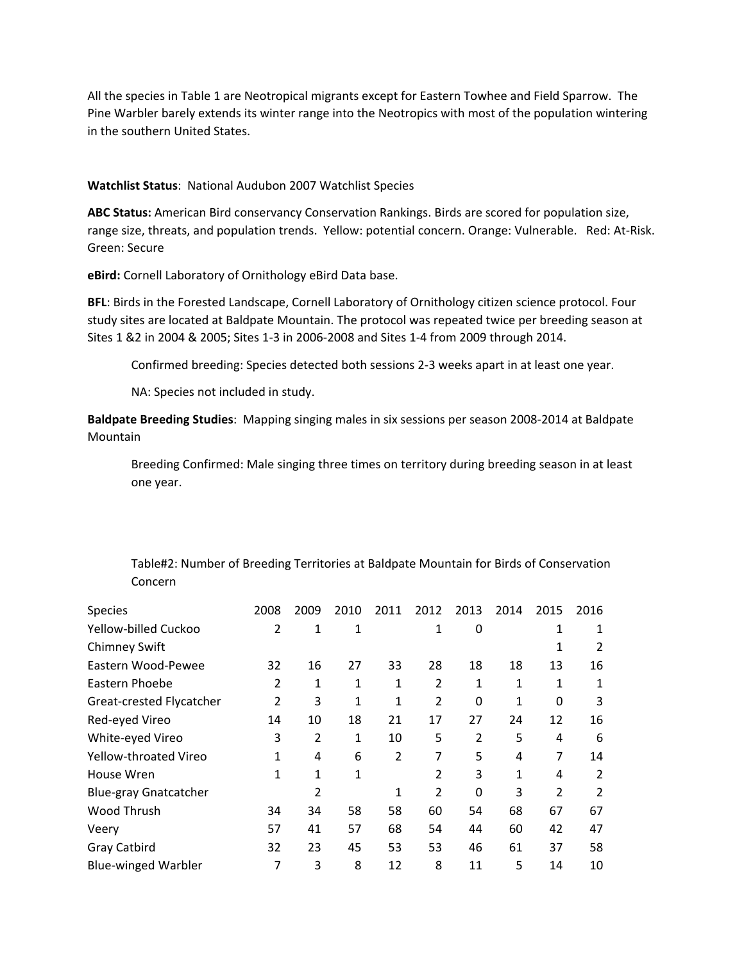All the species in Table 1 are Neotropical migrants except for Eastern Towhee and Field Sparrow. The Pine Warbler barely extends its winter range into the Neotropics with most of the population wintering in the southern United States.

#### **Watchlist Status**: National Audubon 2007 Watchlist Species

**ABC Status:** American Bird conservancy Conservation Rankings. Birds are scored for population size, range size, threats, and population trends. Yellow: potential concern. Orange: Vulnerable. Red: At‐Risk. Green: Secure

**eBird:** Cornell Laboratory of Ornithology eBird Data base.

**BFL**: Birds in the Forested Landscape, Cornell Laboratory of Ornithology citizen science protocol. Four study sites are located at Baldpate Mountain. The protocol was repeated twice per breeding season at Sites 1 &2 in 2004 & 2005; Sites 1‐3 in 2006‐2008 and Sites 1‐4 from 2009 through 2014.

Confirmed breeding: Species detected both sessions 2‐3 weeks apart in at least one year.

NA: Species not included in study.

**Baldpate Breeding Studies**: Mapping singing males in six sessions per season 2008‐2014 at Baldpate Mountain

Breeding Confirmed: Male singing three times on territory during breeding season in at least one year.

| Table#2: Number of Breeding Territories at Baldpate Mountain for Birds of Conservation |
|----------------------------------------------------------------------------------------|
| Concern                                                                                |

| Species                      | 2008           | 2009 | 2010 | 2011           | 2012           | 2013           | 2014 | 2015           | 2016 |
|------------------------------|----------------|------|------|----------------|----------------|----------------|------|----------------|------|
| Yellow-billed Cuckoo         | $\overline{2}$ | 1    | 1    |                | 1              | 0              |      | 1              | 1    |
| <b>Chimney Swift</b>         |                |      |      |                |                |                |      | 1              | 2    |
| Eastern Wood-Pewee           | 32             | 16   | 27   | 33             | 28             | 18             | 18   | 13             | 16   |
| Eastern Phoebe               | 2              | 1    | 1    | 1              | $\overline{2}$ | 1              | 1    | 1              | 1    |
| Great-crested Flycatcher     | 2              | 3    | 1    | 1              | $\overline{2}$ | 0              | 1    | 0              | 3    |
| Red-eyed Vireo               | 14             | 10   | 18   | 21             | 17             | 27             | 24   | 12             | 16   |
| White-eyed Vireo             | 3              | 2    | 1    | 10             | 5              | $\overline{2}$ | 5    | 4              | 6    |
| Yellow-throated Vireo        | 1              | 4    | 6    | $\overline{2}$ | 7              | 5              | 4    | 7              | 14   |
| House Wren                   | 1              | 1    | 1    |                | 2              | 3              | 1    | 4              | 2    |
| <b>Blue-gray Gnatcatcher</b> |                | 2    |      | 1              | 2              | 0              | 3    | $\overline{2}$ | 2    |
| Wood Thrush                  | 34             | 34   | 58   | 58             | 60             | 54             | 68   | 67             | 67   |
| Veery                        | 57             | 41   | 57   | 68             | 54             | 44             | 60   | 42             | 47   |
| Gray Catbird                 | 32             | 23   | 45   | 53             | 53             | 46             | 61   | 37             | 58   |
| <b>Blue-winged Warbler</b>   | 7              | 3    | 8    | 12             | 8              | 11             | 5    | 14             | 10   |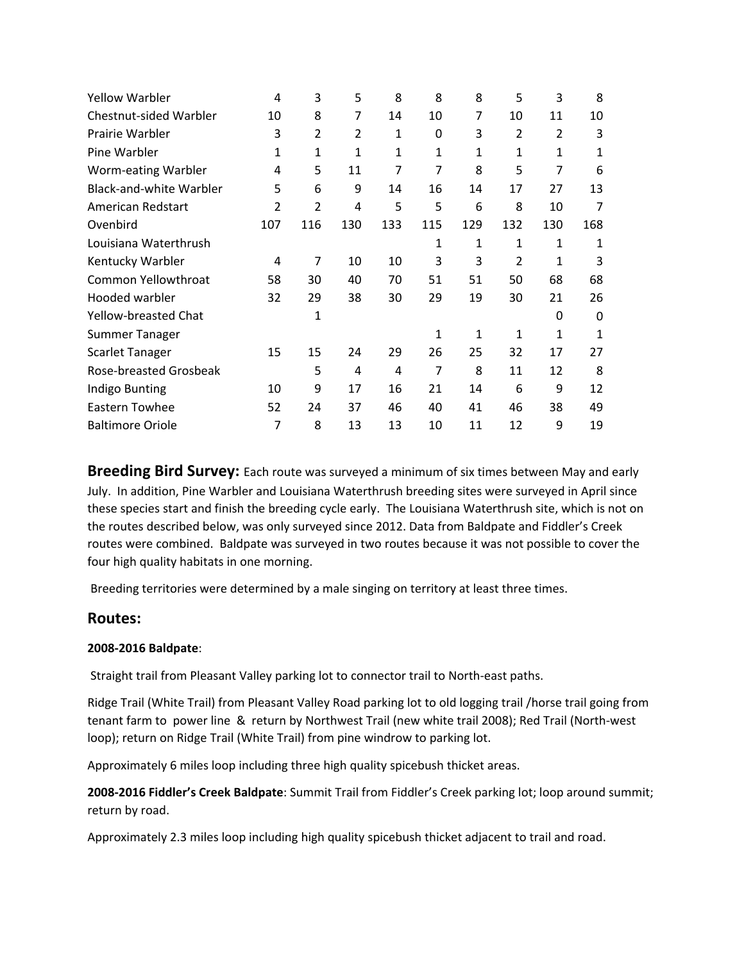| <b>Yellow Warbler</b>          | 4            | 3              | 5              | 8            | 8   | 8            | 5              | 3            | 8   |
|--------------------------------|--------------|----------------|----------------|--------------|-----|--------------|----------------|--------------|-----|
| Chestnut-sided Warbler         | 10           | 8              | 7              | 14           | 10  | 7            | 10             | 11           | 10  |
| Prairie Warbler                | 3            | $\overline{2}$ | $\overline{2}$ | 1            | 0   | 3            | $\overline{2}$ | 2            | 3   |
| Pine Warbler                   | $\mathbf{1}$ | 1              | $\mathbf{1}$   | $\mathbf{1}$ | 1   | $\mathbf 1$  | $\mathbf{1}$   | $\mathbf{1}$ | 1   |
| Worm-eating Warbler            | 4            | 5              | 11             | 7            | 7   | 8            | 5              | 7            | 6   |
| <b>Black-and-white Warbler</b> | 5            | 6              | 9              | 14           | 16  | 14           | 17             | 27           | 13  |
| American Redstart              | 2            | $\overline{2}$ | 4              | 5            | 5   | 6            | 8              | 10           | 7   |
| Ovenbird                       | 107          | 116            | 130            | 133          | 115 | 129          | 132            | 130          | 168 |
| Louisiana Waterthrush          |              |                |                |              | 1   | 1            | $\mathbf{1}$   | 1            | 1   |
| Kentucky Warbler               | 4            | 7              | 10             | 10           | 3   | 3            | 2              | 1            | 3   |
| Common Yellowthroat            | 58           | 30             | 40             | 70           | 51  | 51           | 50             | 68           | 68  |
| Hooded warbler                 | 32           | 29             | 38             | 30           | 29  | 19           | 30             | 21           | 26  |
| <b>Yellow-breasted Chat</b>    |              | 1              |                |              |     |              |                | 0            | 0   |
| <b>Summer Tanager</b>          |              |                |                |              | 1   | $\mathbf{1}$ | $\mathbf{1}$   | $\mathbf{1}$ | 1   |
| <b>Scarlet Tanager</b>         | 15           | 15             | 24             | 29           | 26  | 25           | 32             | 17           | 27  |
| Rose-breasted Grosbeak         |              | 5              | 4              | 4            | 7   | 8            | 11             | 12           | 8   |
| Indigo Bunting                 | 10           | 9              | 17             | 16           | 21  | 14           | 6              | 9            | 12  |
| Eastern Towhee                 | 52           | 24             | 37             | 46           | 40  | 41           | 46             | 38           | 49  |
| <b>Baltimore Oriole</b>        | 7            | 8              | 13             | 13           | 10  | 11           | 12             | 9            | 19  |

**Breeding Bird Survey:** Each route was surveyed a minimum of six times between May and early July. In addition, Pine Warbler and Louisiana Waterthrush breeding sites were surveyed in April since these species start and finish the breeding cycle early. The Louisiana Waterthrush site, which is not on the routes described below, was only surveyed since 2012. Data from Baldpate and Fiddler's Creek routes were combined. Baldpate was surveyed in two routes because it was not possible to cover the four high quality habitats in one morning.

Breeding territories were determined by a male singing on territory at least three times.

### **Routes:**

#### **2008‐2016 Baldpate**:

Straight trail from Pleasant Valley parking lot to connector trail to North‐east paths.

Ridge Trail (White Trail) from Pleasant Valley Road parking lot to old logging trail /horse trail going from tenant farm to power line & return by Northwest Trail (new white trail 2008); Red Trail (North‐west loop); return on Ridge Trail (White Trail) from pine windrow to parking lot.

Approximately 6 miles loop including three high quality spicebush thicket areas.

**2008‐2016 Fiddler's Creek Baldpate**: Summit Trail from Fiddler's Creek parking lot; loop around summit; return by road.

Approximately 2.3 miles loop including high quality spicebush thicket adjacent to trail and road.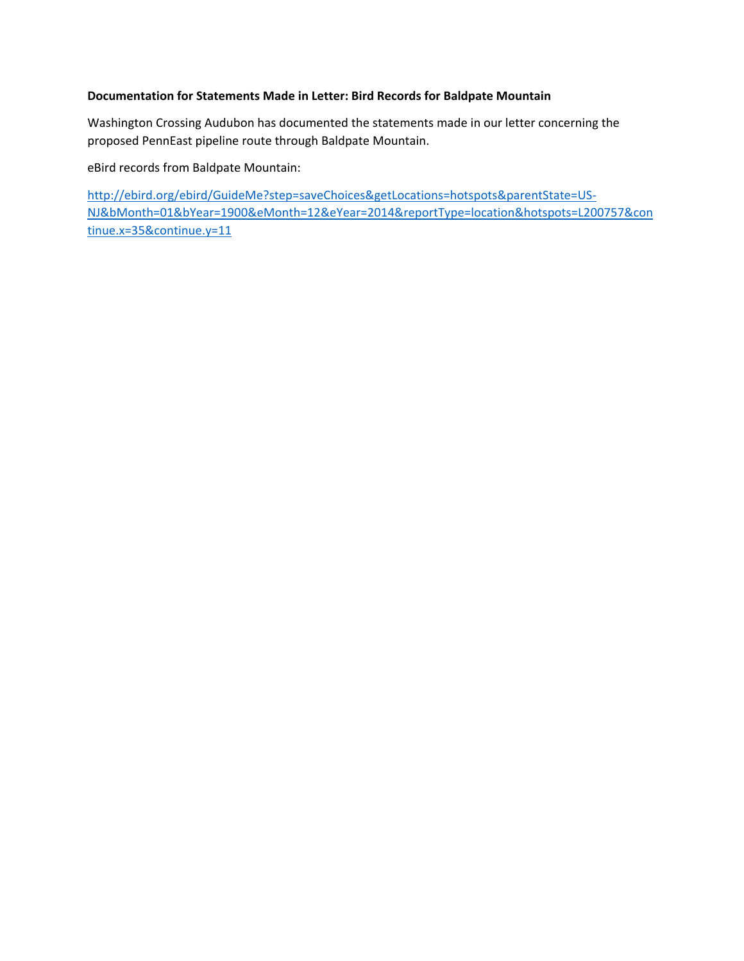#### **Documentation for Statements Made in Letter: Bird Records for Baldpate Mountain**

Washington Crossing Audubon has documented the statements made in our letter concerning the proposed PennEast pipeline route through Baldpate Mountain.

eBird records from Baldpate Mountain:

http://ebird.org/ebird/GuideMe?step=saveChoices&getLocations=hotspots&parentState=US‐ NJ&bMonth=01&bYear=1900&eMonth=12&eYear=2014&reportType=location&hotspots=L200757&con tinue.x=35&continue.y=11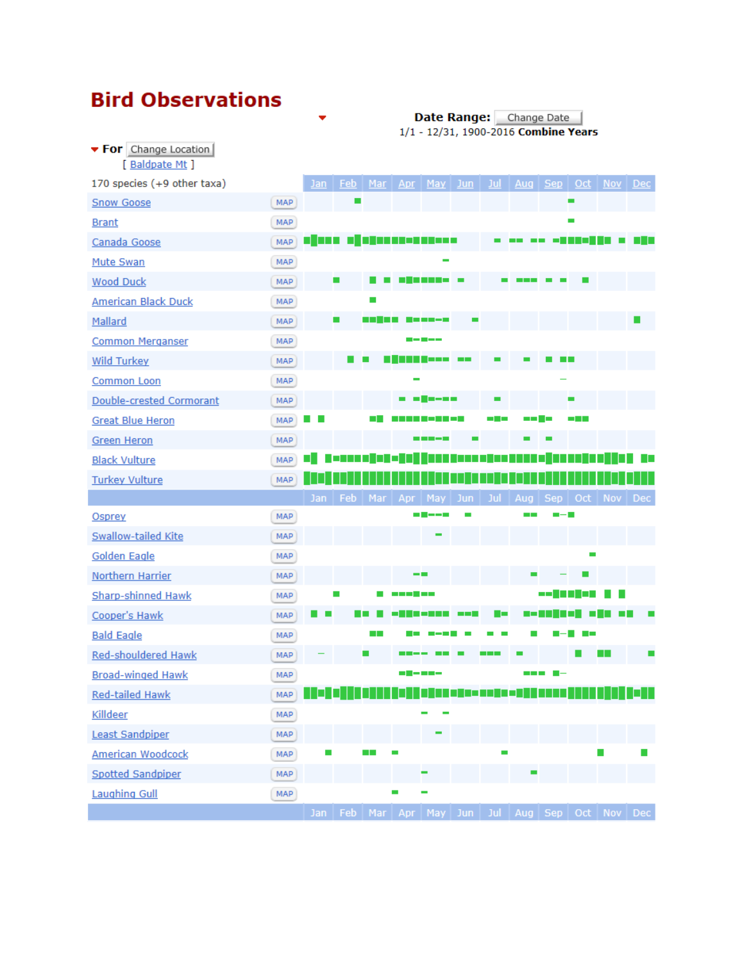# **Bird Observations**

• For Change Location

Date Range: Change Date |<br>1/1 - 12/31, 1900-2016 Combine Years

| [ Baldpate Mt ]             |            |     |            |        |                  |                                                           |                    |                |        |                 |                   |                     |  |
|-----------------------------|------------|-----|------------|--------|------------------|-----------------------------------------------------------|--------------------|----------------|--------|-----------------|-------------------|---------------------|--|
| 170 species (+9 other taxa) |            | Jan | Feb        | Mar    | Apr              | May Jun                                                   |                    | <u>Jul</u>     |        |                 |                   | Aug Sep Oct Nov Dec |  |
| <b>Snow Goose</b>           | MAP        |     | <b>COL</b> |        |                  |                                                           |                    |                |        |                 | <b>COL</b>        |                     |  |
| <b>Brant</b>                | MAP        |     |            |        |                  |                                                           |                    |                |        |                 | $\mathbf{r}$      |                     |  |
| Canada Goose                | MAP        |     |            |        |                  | . <b>.</b>                                                |                    |                |        |                 |                   |                     |  |
| Mute Swan                   | <b>MAP</b> |     |            |        |                  |                                                           |                    |                |        |                 |                   |                     |  |
| <b>Wood Duck</b>            | MAP        |     |            |        |                  | ---------                                                 |                    |                |        |                 |                   |                     |  |
| <b>American Black Duck</b>  | MAP        |     |            |        |                  |                                                           |                    |                |        |                 |                   |                     |  |
| Mallard                     | <b>MAP</b> |     |            |        |                  |                                                           |                    |                |        |                 |                   |                     |  |
| <b>Common Merganser</b>     | MAP        |     |            |        |                  | -----                                                     |                    |                |        |                 |                   |                     |  |
| <b>Wild Turkey</b>          | <b>MAP</b> |     |            |        |                  |                                                           | <b>The Company</b> |                |        |                 |                   |                     |  |
| <b>Common Loon</b>          | MAP        |     |            |        |                  |                                                           |                    |                |        |                 |                   |                     |  |
| Double-crested Cormorant    | <b>MAP</b> |     |            |        | m                | m = m m                                                   |                    | $\blacksquare$ |        |                 |                   |                     |  |
| <b>Great Blue Heron</b>     | MAP        |     |            | $\Box$ |                  | T 8 T 8 T                                                 |                    | and the con-   | ma 2 m |                 | <b>CONTRACTOR</b> |                     |  |
| <b>Green Heron</b>          | MAP        |     |            |        |                  |                                                           |                    |                |        |                 |                   |                     |  |
| <b>Black Vulture</b>        | MAP        |     |            |        |                  |                                                           |                    |                |        |                 |                   |                     |  |
| <b>Turkey Vulture</b>       | MAP        |     |            |        |                  |                                                           |                    |                |        |                 |                   |                     |  |
|                             |            | Jan | Feb.       |        |                  | Mar   Apr   May   Jun   Jul   Aug   Sep   Oct   Nov   Dec |                    |                |        |                 |                   |                     |  |
| Osprey                      | MAP        |     |            |        |                  | m <b>H</b> ——1                                            |                    |                |        |                 |                   |                     |  |
| <b>Swallow-tailed Kite</b>  | MAP        |     |            |        |                  |                                                           |                    |                |        |                 |                   |                     |  |
| <b>Golden Eagle</b>         | MAP        |     |            |        |                  |                                                           |                    |                |        |                 |                   |                     |  |
| <b>Northern Harrier</b>     | MAP        |     |            |        |                  |                                                           |                    |                |        |                 |                   |                     |  |
| <b>Sharp-shinned Hawk</b>   | MAP        |     | ш          |        | 1 - 1 - 1 - 1    |                                                           |                    |                |        | -- <b>111</b> - |                   |                     |  |
| Cooper's Hawk               | <b>MAP</b> |     |            |        |                  |                                                           | and the con-       | - -            | a po   |                 |                   |                     |  |
| <b>Bald Eagle</b>           | MAP        |     |            | ا ا    |                  |                                                           |                    |                |        |                 |                   |                     |  |
| <b>Red-shouldered Hawk</b>  | <b>MAP</b> |     |            |        |                  |                                                           |                    |                |        |                 |                   | H.                  |  |
| <b>Broad-winged Hawk</b>    | MAP        |     |            |        | - <b>-</b> - - - |                                                           |                    |                |        | --- -           |                   |                     |  |
| Red-tailed Hawk             | <b>MAP</b> |     |            |        |                  |                                                           |                    |                |        |                 |                   |                     |  |
| Killdeer                    | MAP        |     |            |        |                  |                                                           |                    |                |        |                 |                   |                     |  |
| <b>Least Sandpiper</b>      | MAP        |     |            |        |                  |                                                           |                    |                |        |                 |                   |                     |  |
| <b>American Woodcock</b>    | MAP        | a,  |            | a ka   | a.               |                                                           |                    |                |        |                 |                   |                     |  |
| <b>Spotted Sandpiper</b>    | MAP        |     |            |        |                  |                                                           |                    |                |        |                 |                   |                     |  |
| <b>Laughing Gull</b>        | MAP        |     |            |        |                  |                                                           |                    |                |        |                 |                   |                     |  |
|                             |            |     |            |        |                  | Jan Feb Mar Apr May Jun Jul                               |                    |                |        |                 |                   | Aug Sep Oct Nov Dec |  |

 $\bullet$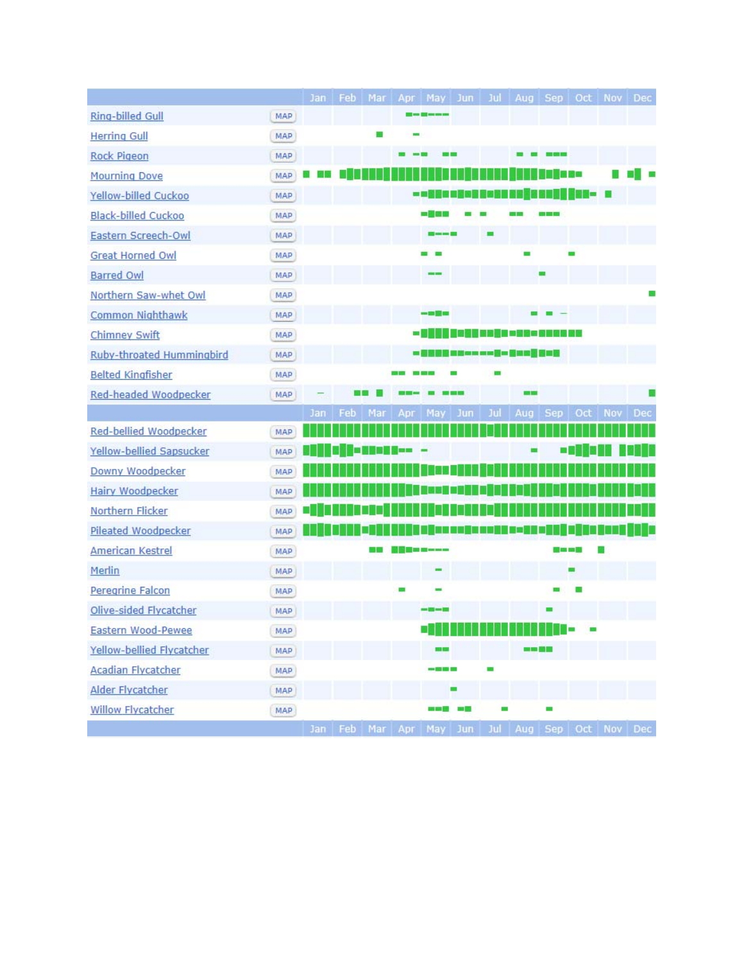|                            |            |     |     |         |     | Jan Feb Mar Apr May Jun Jul Aug Sep Oct Nov Dec |     |     |                 |                              |     |     |     |
|----------------------------|------------|-----|-----|---------|-----|-------------------------------------------------|-----|-----|-----------------|------------------------------|-----|-----|-----|
| Ring-billed Gull           | MAP        |     |     |         |     |                                                 |     |     |                 |                              |     |     |     |
| <b>Herring Gull</b>        | MAP        |     |     |         |     |                                                 |     |     |                 |                              |     |     |     |
| <b>Rock Pigeon</b>         | MAP        |     |     |         |     |                                                 |     |     |                 | <b>COLOR</b>                 |     |     |     |
| <b>Mourning Dove</b>       | MAP        |     |     |         |     |                                                 |     |     |                 |                              |     |     |     |
| Yellow-billed Cuckoo       | MAP        |     |     |         |     | 画面                                              |     |     |                 | <b>SE CASSA SENI, SHE— G</b> |     |     |     |
| <b>Black-billed Cuckoo</b> | MAP        |     |     |         |     | - 三国                                            |     |     |                 |                              |     |     |     |
| Eastern Screech-Owl        | MAP        |     |     |         |     |                                                 |     |     |                 |                              |     |     |     |
| <b>Great Horned Owl</b>    | MAP        |     |     |         |     |                                                 |     |     |                 |                              |     |     |     |
| <b>Barred Owl</b>          | MAP        |     |     |         |     |                                                 |     |     |                 |                              |     |     |     |
| Northern Saw-whet Owl      | <b>MAP</b> |     |     |         |     |                                                 |     |     |                 |                              |     |     |     |
| Common Nighthawk           | MAP        |     |     |         |     | 一面開始                                            |     |     |                 |                              |     |     |     |
| <b>Chimney Swift</b>       | MAP        |     |     |         |     | - 1                                             |     |     | <u>in andar</u> | 3 - 0 0 0 0                  |     |     |     |
| Ruby-throated Hummingbird  | MAP        |     |     |         |     | - 00000 = # - - - - 0 - 0 - 0 - 0 - 0 - 0       |     |     |                 |                              |     |     |     |
| <b>Belted Kingfisher</b>   | MAP        |     |     |         |     |                                                 |     |     |                 |                              |     |     |     |
| Red-headed Woodpecker      | MAP        |     |     |         |     |                                                 |     |     |                 |                              |     |     |     |
|                            |            | Jan | Feb | Mar     | Apr | May                                             | Jun | Jul | Aug             | <b>Sep</b>                   | Oct | Nov | Dec |
| Red-bellied Woodpecker     | MAP        |     |     |         |     |                                                 |     |     |                 |                              |     |     |     |
| Yellow-bellied Sapsucker   | MAP        |     | ш   | in Beer |     |                                                 |     |     |                 |                              |     |     |     |
| Downy Woodpecker           | MAP        |     |     |         |     |                                                 |     |     |                 |                              |     |     |     |
| <b>Hairy Woodpecker</b>    | MAP        |     |     |         |     |                                                 |     |     |                 |                              |     |     |     |
| Northern Flicker           | <b>MAP</b> |     |     |         |     |                                                 |     |     |                 |                              |     |     |     |
| Pileated Woodpecker        | MAP        |     |     |         |     |                                                 |     |     |                 |                              |     |     |     |
| <b>American Kestrel</b>    | MAP        |     |     |         |     | <b>THE REPORT OF STATE</b>                      |     |     |                 | <b>Call and man</b>          |     |     |     |
| Merlin                     | MAP        |     |     |         |     |                                                 |     |     |                 |                              |     |     |     |
| Peregrine Falcon           | MAP        |     |     |         |     |                                                 |     |     |                 |                              |     |     |     |
| Olive-sided Flycatcher     | MAP        |     |     |         |     |                                                 |     |     |                 |                              |     |     |     |
| Eastern Wood-Pewee         | MAP        |     |     |         |     | ۰                                               |     |     |                 |                              |     |     |     |
| Yellow-bellied Flycatcher  | <b>MAP</b> |     |     |         |     | <b>MA MA</b>                                    |     |     |                 | <b>MM 50 MM</b>              |     |     |     |
| <b>Acadian Flycatcher</b>  | <b>MAP</b> |     |     |         |     | ----                                            |     |     |                 |                              |     |     |     |
| Alder Flycatcher           | MAP        |     |     |         |     |                                                 |     |     |                 |                              |     |     |     |
| <b>Willow Flycatcher</b>   | MAP        |     |     |         |     | ---                                             |     |     |                 |                              |     |     |     |
|                            |            |     |     |         |     | Jan Feb Mar Apr May Jun Jul Aug Sep Oct Nov Dec |     |     |                 |                              |     |     |     |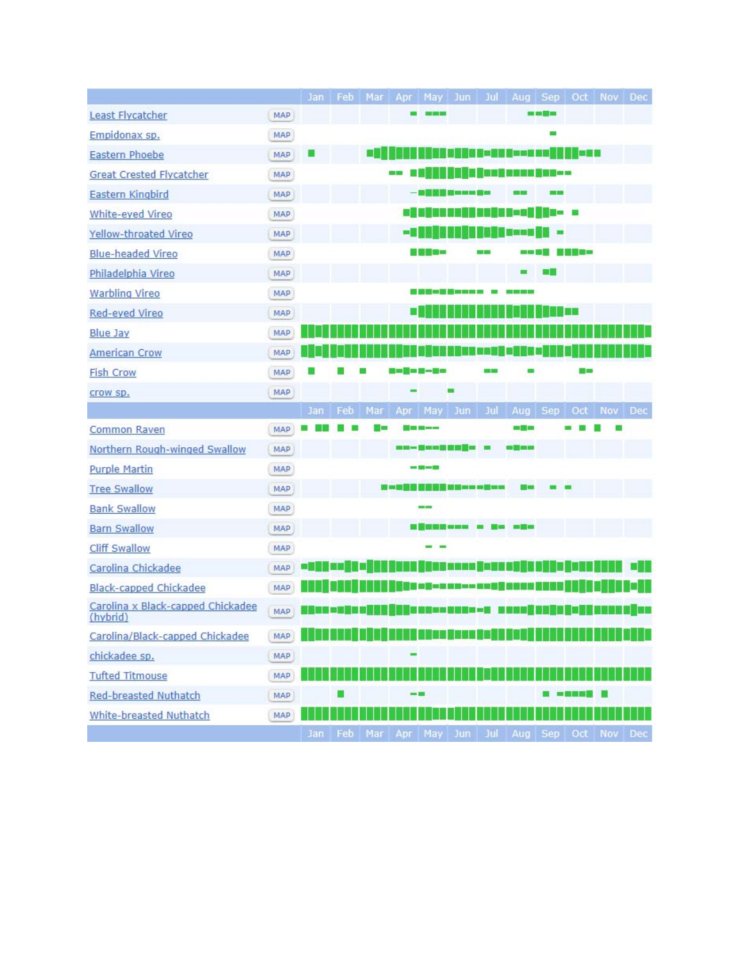|                                               |     | Jan       | Feb         |     |      |                                           |                                                  |      |                                                        |                        |                  | Mar Apr May Jun Jul Aug Sep Oct Nov Dec                              |   |
|-----------------------------------------------|-----|-----------|-------------|-----|------|-------------------------------------------|--------------------------------------------------|------|--------------------------------------------------------|------------------------|------------------|----------------------------------------------------------------------|---|
| Least Flycatcher                              | MAP |           |             |     |      |                                           |                                                  |      |                                                        | 100 000 <b>973 100</b> |                  |                                                                      |   |
| Empidonax sp.                                 | MAP |           |             |     |      |                                           |                                                  |      |                                                        |                        |                  |                                                                      |   |
| <b>Eastern Phoebe</b>                         | MAP |           |             | a a |      |                                           |                                                  |      | <u>d yn y y yn en y ne y</u>                           |                        | n an B           |                                                                      |   |
| <b>Great Crested Flycatcher</b>               | MAP |           |             |     |      |                                           |                                                  |      | in Amati www.filmson                                   |                        |                  |                                                                      |   |
| <b>Eastern Kingbird</b>                       | MAP |           |             |     |      | - 50 M M M M w M W M M                    |                                                  |      |                                                        |                        |                  |                                                                      |   |
| White-eyed Vireo                              | MAP |           |             |     | 81 - |                                           |                                                  |      | IN NHAQ Geog III - 8                                   |                        |                  |                                                                      |   |
| Yellow-throated Vireo                         | MAP |           |             |     | - 1  |                                           |                                                  |      | <b>STORY</b>                                           |                        |                  |                                                                      |   |
| <b>Blue-headed Vireo</b>                      | MAP |           |             |     |      | 言語を包囲                                     |                                                  |      | <b>1979 1979</b>                                       |                        | 18500            |                                                                      |   |
| Philadelphia Vireo                            | MAP |           |             |     |      |                                           |                                                  |      |                                                        |                        |                  |                                                                      |   |
| Warbling Vireo                                | MAP |           |             |     |      |                                           |                                                  |      |                                                        |                        |                  |                                                                      |   |
| Red-eyed Vireo                                | MAP |           |             |     |      |                                           |                                                  |      |                                                        |                        | <b>TELESCOPE</b> |                                                                      |   |
| <b>Blue Jay</b>                               | MAP |           |             |     |      |                                           |                                                  |      |                                                        |                        |                  |                                                                      |   |
| <b>American Crow</b>                          | MAP |           |             |     |      |                                           |                                                  |      | 1. ISBN 1. ISBN 1. ISBN                                |                        |                  |                                                                      |   |
| <b>Fish Crow</b>                              | MAP |           |             |     |      | $\mathbf{0} = \mathbf{0} - \mathbf{0}$ as |                                                  |      |                                                        |                        | <b>COLLEGE</b>   |                                                                      |   |
| crow sp.                                      | MAP |           |             |     |      |                                           |                                                  |      |                                                        |                        |                  |                                                                      |   |
|                                               |     | Jan       | Feb         | Mar | Apr  | May Jun                                   |                                                  | Jul  |                                                        |                        |                  | Aug Sep Oct Nov Dec                                                  |   |
| Common Raven                                  | MAP |           |             |     |      |                                           |                                                  |      | <b>CONTRACTOR</b>                                      |                        |                  |                                                                      |   |
| Northern Rough-winged Swallow                 | MAP |           |             |     |      | ※※一番※※書き目録~ ※                             |                                                  |      | <b>电图 图</b>                                            |                        |                  |                                                                      |   |
| <b>Purple Martin</b>                          | MAP |           |             |     |      |                                           |                                                  |      |                                                        |                        |                  |                                                                      |   |
| <b>Tree Swallow</b>                           | MAP |           |             |     |      |                                           | 10 <b>11 12 13 14 15 16 16 16 16 16 16 16 16</b> |      |                                                        |                        |                  |                                                                      |   |
| <b>Bank Swallow</b>                           | MAP |           |             |     |      |                                           |                                                  |      |                                                        |                        |                  |                                                                      |   |
| <b>Barn Swallow</b>                           | MAP |           |             |     |      | <b>ENDEMANA &amp; No so</b> o             |                                                  |      |                                                        |                        |                  |                                                                      |   |
| <b>Cliff Swallow</b>                          | MAP |           |             |     |      |                                           |                                                  |      |                                                        |                        |                  |                                                                      |   |
| Carolina Chickadee                            | MAP |           |             |     |      | INNE BUNG xena ganu ne h                  |                                                  |      |                                                        |                        |                  |                                                                      |   |
| <b>Black-capped Chickadee</b>                 | MAP |           |             |     |      |                                           |                                                  |      | <b>. 200 - 200 - 200 - 200 - 200 - 200 - 200 - 200</b> |                        |                  |                                                                      |   |
| Carolina x Black-capped Chickadee<br>(hybrid) | MAP | a de la c |             |     |      |                                           |                                                  |      | <b>ECE--BEE--B BORD (UNIV)</b>                         |                        |                  |                                                                      | Œ |
| Carolina/Black-capped Chickadee               | MAP |           |             |     |      |                                           |                                                  |      |                                                        |                        |                  | <u> San 1917 - Saf 1917 ann ann an 1917 an Sail Sail Sill agus a</u> |   |
| chickadee sp.                                 | MAP |           |             |     |      |                                           |                                                  |      |                                                        |                        |                  |                                                                      |   |
| <b>Tufted Titmouse</b>                        | MAP |           |             |     |      |                                           |                                                  |      |                                                        |                        |                  |                                                                      |   |
| <b>Red-breasted Nuthatch</b>                  | MAP |           |             |     |      |                                           |                                                  |      |                                                        |                        |                  |                                                                      |   |
| <b>White-breasted Nuthatch</b>                | MAP |           |             |     |      |                                           |                                                  |      |                                                        |                        |                  |                                                                      |   |
|                                               |     | lan:      | $F$ $F$ $F$ | Mar |      | Apr May Jun                               |                                                  | Tril |                                                        |                        |                  | Aug Sep Oct Nov Dec                                                  |   |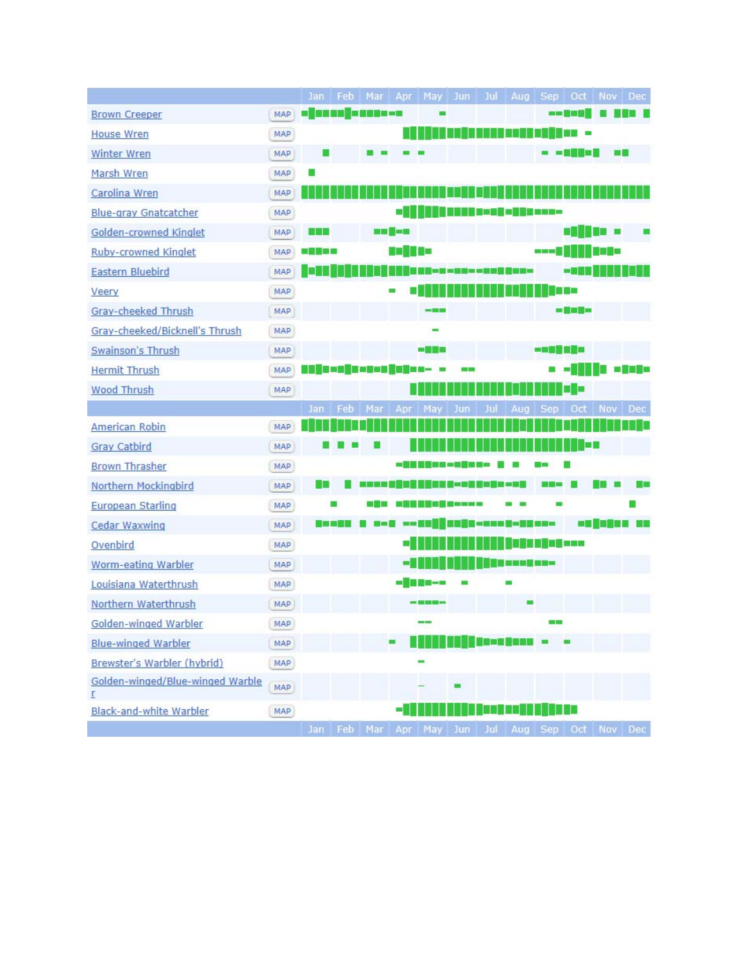|                                       |            | Jan                | Feb         | Mar |               | Apr   May   Jun   Jul              |  |                            | Aug Sep Oct Nov Dec                                                                                                   |                    |             |                 |
|---------------------------------------|------------|--------------------|-------------|-----|---------------|------------------------------------|--|----------------------------|-----------------------------------------------------------------------------------------------------------------------|--------------------|-------------|-----------------|
| <b>Brown Creeper</b>                  | MAP        | - 12000 - 2000 - 2 |             |     |               |                                    |  |                            |                                                                                                                       | an Ball            |             |                 |
| <b>House Wren</b>                     | MAP        |                    |             |     |               |                                    |  |                            |                                                                                                                       | 認識する               |             |                 |
| <b>Winter Wren</b>                    | MAP        | ш                  |             |     |               |                                    |  |                            |                                                                                                                       | <b>The Company</b> |             | <b>COLOR</b>    |
| Marsh Wren                            | MAP        |                    |             |     |               |                                    |  |                            |                                                                                                                       |                    |             |                 |
| Carolina Wren                         | MAP        |                    |             |     |               |                                    |  |                            |                                                                                                                       |                    |             |                 |
| <b>Blue-gray Gnatcatcher</b>          | <b>MAP</b> |                    |             |     |               |                                    |  |                            |                                                                                                                       |                    |             |                 |
| Golden-crowned Kinglet                | MAP        | 的的的                |             |     | <b>BB 5-8</b> |                                    |  |                            |                                                                                                                       |                    | 10 a        |                 |
| <b>Ruby-crowned Kinglet</b>           | MAP        | -80350             |             |     | 9 - 13 9 0    |                                    |  |                            | ■田田富                                                                                                                  |                    | 99 E SI     |                 |
| <b>Eastern Bluebird</b>               | MAP        | п                  |             |     |               |                                    |  | H 수정하여 야합도 <u>참 할 때</u> 같아 |                                                                                                                       | -55                |             |                 |
| Veery                                 | MAP        |                    |             |     |               |                                    |  |                            |                                                                                                                       | 1888               |             |                 |
| Gray-cheeked Thrush                   | MAP        |                    |             |     |               | nes 200 Mi                         |  |                            |                                                                                                                       | m <b>Max 11</b> m  |             |                 |
| Gray-cheeked/Bicknell's Thrush        | MAP        |                    |             |     |               |                                    |  |                            |                                                                                                                       |                    |             |                 |
| Swainson's Thrush                     | MAP        |                    |             |     |               | 网络圆形                               |  |                            | 一時間間回避雨                                                                                                               |                    |             |                 |
| <b>Hermit Thrush</b>                  | MAP        |                    |             |     |               |                                    |  |                            |                                                                                                                       |                    |             | <b>B</b> a Base |
| <b>Wood Thrush</b>                    | MAP        |                    |             |     |               |                                    |  |                            |                                                                                                                       | 10 E               |             |                 |
|                                       |            | Jan                | Feb         | Mar |               | Apr May Jun                        |  |                            |                                                                                                                       |                    | Oct Nov Dec |                 |
| <b>American Robin</b>                 | MAP        |                    |             |     |               |                                    |  |                            |                                                                                                                       |                    |             |                 |
| <b>Gray Catbird</b>                   | MAP        |                    |             |     |               |                                    |  |                            |                                                                                                                       | œ                  |             |                 |
| <b>Brown Thrasher</b>                 | MAP        |                    |             |     |               | 一副製 医前缀的 一面医图 经一                   |  |                            |                                                                                                                       |                    |             |                 |
| Northern Mockingbird                  | MAP        | ×.                 |             |     |               | <b>KO SERS S-DE SO E U -0 R</b>    |  |                            | <b>CO 500 KM</b>                                                                                                      |                    |             |                 |
| <b>European Starling</b>              | MAP        |                    |             |     |               | 38 38 38 38 38 48 48 48 49 49      |  |                            |                                                                                                                       |                    |             |                 |
| <b>Cedar Waxwing</b>                  | MAP        |                    | 医圆圆面层       |     |               | i aoi an Kalifang -na an Aona an - |  |                            |                                                                                                                       |                    |             | -- - - - - -    |
| Ovenbird                              | MAP        |                    |             |     | ۰.            |                                    |  |                            | <u> ISBN 1878-1978 - ANDRO 1979-1979 - ANDRO 1979-1979 - ANDRO 1979-1979 - ANDRO 1979-1979 - ANDRO 1979-1979 - AN</u> |                    |             |                 |
| <b>Worm-eating Warbler</b>            | MAP        |                    |             |     |               |                                    |  | ii <b>ni saa jira</b> a    |                                                                                                                       |                    |             |                 |
| Louisiana Waterthrush                 | MAP        |                    |             |     |               | -1800--                            |  |                            |                                                                                                                       |                    |             |                 |
| Northern Waterthrush                  | MAP        |                    |             |     |               |                                    |  |                            |                                                                                                                       |                    |             |                 |
| Golden-winged Warbler                 | MAP        |                    |             |     |               |                                    |  |                            | <b>CH 50</b>                                                                                                          |                    |             |                 |
| <b>Blue-winged Warbler</b>            | MAP        |                    |             |     |               |                                    |  | <b>BR-NESER -</b>          |                                                                                                                       |                    |             |                 |
| Brewster's Warbler (hybrid)           | MAP        |                    |             |     |               |                                    |  |                            |                                                                                                                       |                    |             |                 |
| Golden-winged/Blue-winged Warble<br>r | MAP        |                    |             |     |               |                                    |  |                            |                                                                                                                       |                    |             |                 |
| <b>Black-and-white Warbler</b>        | MAP        |                    |             |     |               |                                    |  |                            |                                                                                                                       | I D                |             |                 |
|                                       |            |                    | Jan Feb Mar |     |               | Anr May Jun                        |  | Aug Sep Oct Nov Dec        |                                                                                                                       |                    |             |                 |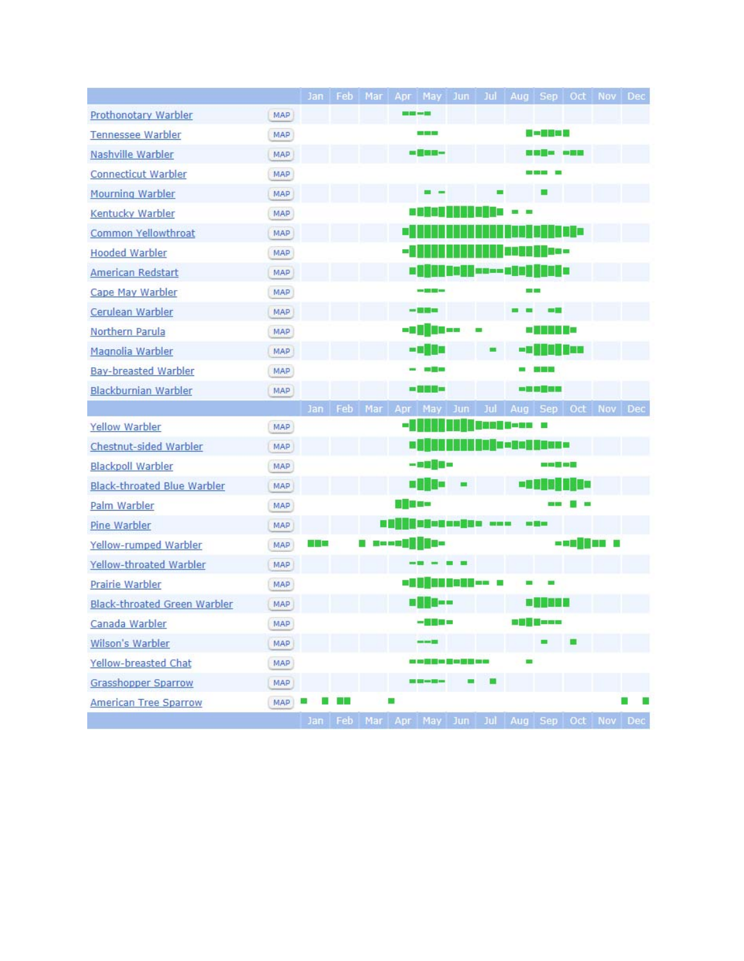|                                     |            | Jan I | Feb | Mar |                        | Apr May Jun                                     |     |                      | Jul   Aug   Sep   Oct |                 |                        | Nov | Dec |
|-------------------------------------|------------|-------|-----|-----|------------------------|-------------------------------------------------|-----|----------------------|-----------------------|-----------------|------------------------|-----|-----|
| <b>Prothonotary Warbler</b>         | MAP        |       |     |     | <b>113 920 114 125</b> |                                                 |     |                      |                       |                 |                        |     |     |
| <b>Tennessee Warbler</b>            | MAP        |       |     |     |                        | <b>CONTRACTOR</b>                               |     |                      |                       | <b>B-2038</b>   |                        |     |     |
| Nashville Warbler                   | <b>MAP</b> |       |     |     |                        | - 銀脚頭-                                          |     |                      |                       |                 | <b>BER DESCRIPTION</b> |     |     |
| <b>Connecticut Warbler</b>          | MAP        |       |     |     |                        |                                                 |     |                      |                       |                 |                        |     |     |
| <b>Mourning Warbler</b>             | MAP        |       |     |     |                        |                                                 |     |                      |                       |                 |                        |     |     |
| Kentucky Warbler                    | MAP        |       |     |     |                        |                                                 |     |                      |                       |                 |                        |     |     |
| Common Yellowthroat                 | MAP        |       |     |     |                        |                                                 |     |                      |                       |                 | a di Ba                |     |     |
| <b>Hooded Warbler</b>               | MAP        |       |     |     |                        |                                                 |     |                      |                       | 18 O O          |                        |     |     |
| American Redstart                   | MAP        |       |     |     |                        |                                                 |     | <b>Risk acom and</b> |                       | <b>TIME</b>     |                        |     |     |
| Cape May Warbler                    | MAP        |       |     |     |                        | ---                                             |     |                      |                       |                 |                        |     |     |
| Cerulean Warbler                    | <b>MAP</b> |       |     |     |                        | -- 53 55 65                                     |     |                      |                       | <b>CALL THE</b> |                        |     |     |
| Northern Parula                     | MAP        |       |     |     |                        | - I II II 30 - -                                |     |                      | ٠                     | 1 I II I X 2    |                        |     |     |
| Magnolia Warbler                    | MAP        |       |     |     |                        | 一日講師の                                           |     |                      | ■露開                   |                 | 11 30a                 |     |     |
| <b>Bay-breasted Warbler</b>         | MAP        |       |     |     |                        | <b>STEP</b>                                     |     |                      |                       | <b>BRITISH</b>  |                        |     |     |
| <b>Blackburnian Warbler</b>         | MAP        |       |     |     |                        | - 韓国語 -                                         |     |                      |                       | ■图画画图图          |                        |     |     |
|                                     |            |       |     |     |                        | Jan Feb Mar Apr May Jun Jul Aug Sep Oct Nov Dec |     |                      |                       |                 |                        |     |     |
| <b>Yellow Warbler</b>               | MAP        |       |     |     |                        |                                                 |     |                      | <b>Bas S-on -</b>     |                 |                        |     |     |
| Chestnut-sided Warbler              | MAP        |       |     |     |                        |                                                 |     |                      | l asa                 | <b>TELESCO</b>  |                        |     |     |
| <b>Blackpoll Warbler</b>            | MAP        |       |     |     |                        | $-9000 -$                                       |     |                      |                       | ----            |                        |     |     |
| <b>Black-throated Blue Warbler</b>  | MAP        |       |     |     |                        | <b>a 110 -</b>                                  | . . |                      | - 88                  |                 | tal ke                 |     |     |
| Palm Warbler                        | MAP        |       |     |     | 8 B E -                |                                                 |     |                      |                       |                 |                        |     |     |
| Pine Warbler                        | MAP        |       |     | a.  |                        | <b>Hugonoogen</b> ---                           |     |                      |                       | s il v          |                        |     |     |
| Yellow-rumped Warbler               | MAP        | a ka  |     |     |                        | 1 ==== <b>111</b> =                             |     |                      |                       |                 | - 39 H H H H           |     |     |
| Yellow-throated Warbler             | MAP        |       |     |     |                        |                                                 |     |                      |                       |                 |                        |     |     |
| Prairie Warbler                     | MAP        |       |     |     | ا ک                    |                                                 |     | <b>IN 1980</b> 13    |                       |                 |                        |     |     |
| <b>Black-throated Green Warbler</b> | MAP        |       |     |     |                        | i i se s                                        |     |                      |                       |                 |                        |     |     |
| Canada Warbler                      | MAP        |       |     |     |                        | -360 -                                          |     |                      |                       | 006 E - 00      |                        |     |     |
| Wilson's Warbler                    | MAP.       |       |     |     |                        |                                                 |     |                      |                       |                 |                        |     |     |
| Yellow-breasted Chat                | MAP        |       |     |     |                        |                                                 |     |                      |                       |                 |                        |     |     |
| <b>Grasshopper Sparrow</b>          | MAP        |       |     |     |                        |                                                 |     |                      |                       |                 |                        |     |     |
| <b>American Tree Sparrow</b>        | <b>MAP</b> |       |     |     | ш                      |                                                 |     |                      |                       |                 |                        |     |     |
|                                     |            |       |     |     |                        | Jan Feb Mar Apr May Jun Jul Aug Sep Oct Nov Dec |     |                      |                       |                 |                        |     |     |